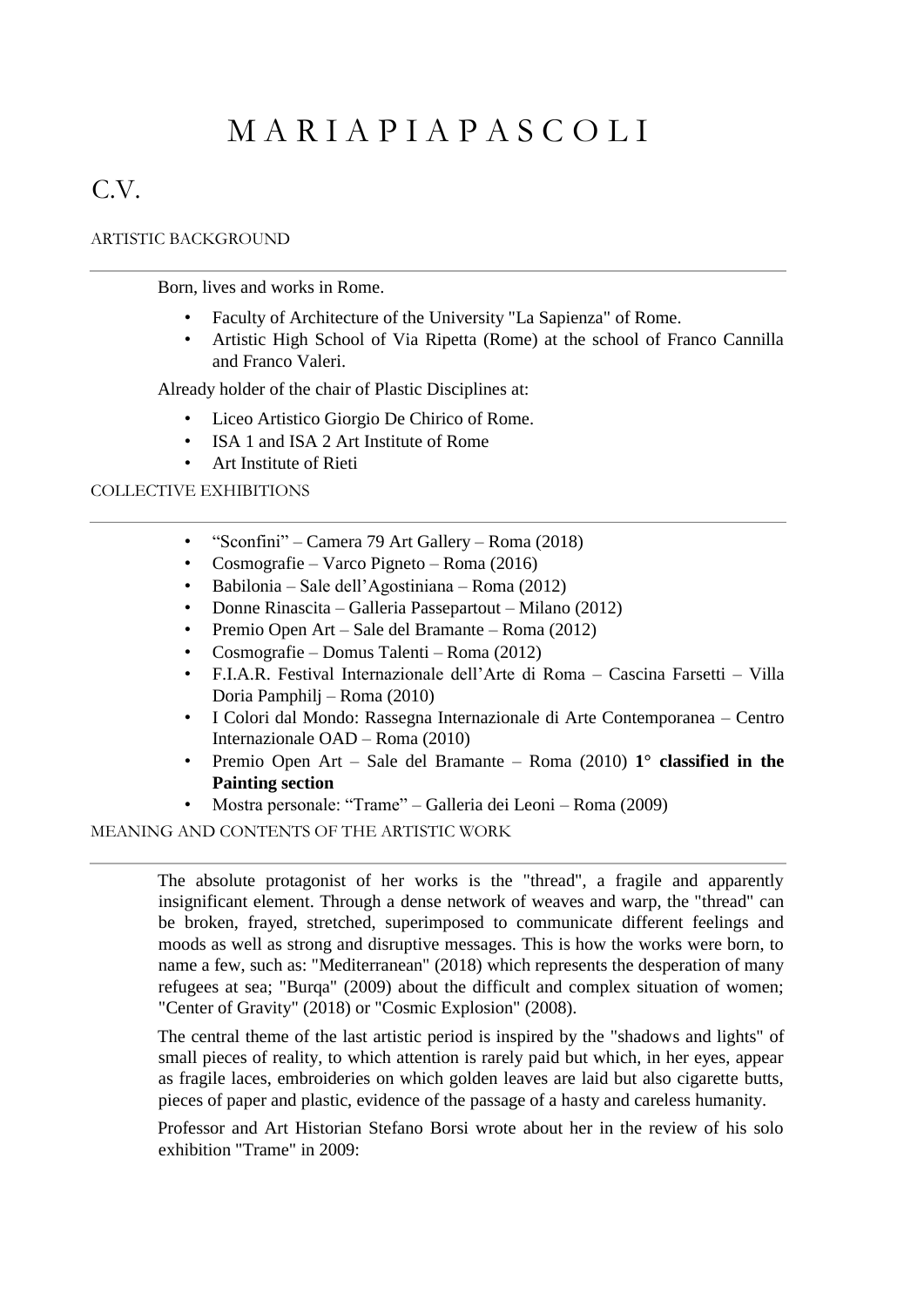## M A R I A P I A P A S C O L I

## C.V.

## ARTISTIC BACKGROUND

Born, lives and works in Rome.

- Faculty of Architecture of the University "La Sapienza" of Rome.
- Artistic High School of Via Ripetta (Rome) at the school of Franco Cannilla and Franco Valeri.

Already holder of the chair of Plastic Disciplines at:

- Liceo Artistico Giorgio De Chirico of Rome.
- ISA 1 and ISA 2 Art Institute of Rome
- Art Institute of Rieti

## COLLECTIVE EXHIBITIONS

- "Sconfini" Camera 79 Art Gallery Roma (2018)
- Cosmografie Varco Pigneto Roma (2016)
- Babilonia Sale dell'Agostiniana Roma (2012)
- Donne Rinascita Galleria Passepartout Milano (2012)
- Premio Open Art Sale del Bramante Roma (2012)
- Cosmografie Domus Talenti Roma (2012)
- F.I.A.R. Festival Internazionale dell'Arte di Roma Cascina Farsetti Villa Doria Pamphilj – Roma (2010)
- I Colori dal Mondo: Rassegna Internazionale di Arte Contemporanea Centro Internazionale OAD – Roma (2010)
- Premio Open Art Sale del Bramante Roma (2010) **1° classified in the Painting section**
- Mostra personale: "Trame" Galleria dei Leoni Roma (2009)

MEANING AND CONTENTS OF THE ARTISTIC WORK

The absolute protagonist of her works is the "thread", a fragile and apparently insignificant element. Through a dense network of weaves and warp, the "thread" can be broken, frayed, stretched, superimposed to communicate different feelings and moods as well as strong and disruptive messages. This is how the works were born, to name a few, such as: "Mediterranean" (2018) which represents the desperation of many refugees at sea; "Burqa" (2009) about the difficult and complex situation of women; "Center of Gravity" (2018) or "Cosmic Explosion" (2008).

The central theme of the last artistic period is inspired by the "shadows and lights" of small pieces of reality, to which attention is rarely paid but which, in her eyes, appear as fragile laces, embroideries on which golden leaves are laid but also cigarette butts, pieces of paper and plastic, evidence of the passage of a hasty and careless humanity.

Professor and Art Historian Stefano Borsi wrote about her in the review of his solo exhibition "Trame" in 2009: